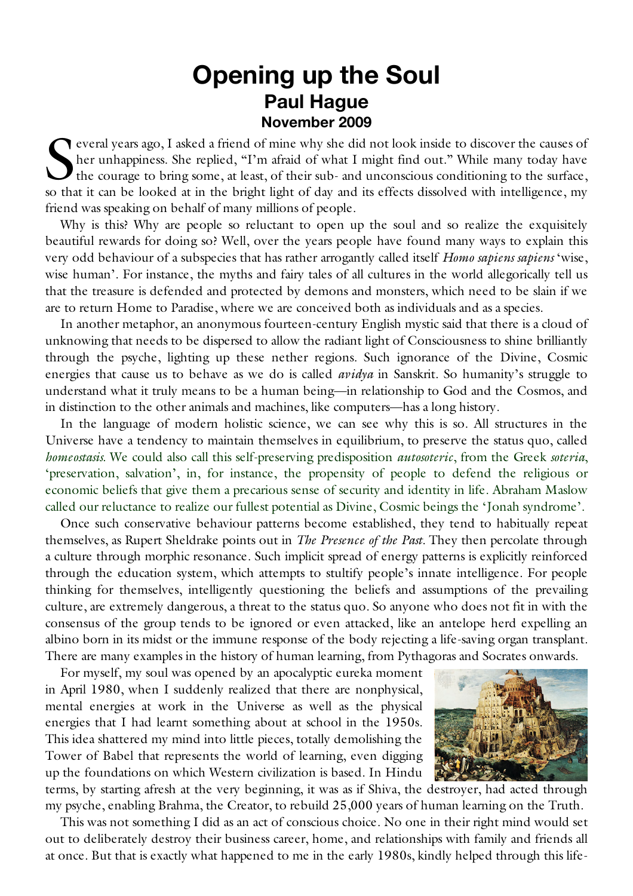## **Opening up the Soul Paul Hague November 2009**

everal years ago, I asked a friend of mine why she did not look inside to discover the causes of her unhappiness. She replied, "I'm afraid of what I might find out." While many today have The courage to bring some, at least, of their sub- and unconscious conditioning to the surface, So that it can be looked at in the bright light of day and its effects dissolved with intelligence, my above that it can be looked at in the bright light of day and its effects dissolved with intelligence, my solved with i friend was speaking on behalf of many millions of people.

Why is this? Why are people so reluctant to open up the soul and so realize the exquisitely beautiful rewards for doing so? Well, over the years people have found many ways to explain this very odd behaviour of a subspecies that has rather arrogantly called itself *Homo sapiens sapiens* 'wise, wise human'. For instance, the myths and fairy tales of all cultures in the world allegorically tell us that the treasure is defended and protected by demons and monsters, which need to be slain if we are to return Home to Paradise, where we are conceived both as individuals and as a species.

In another metaphor, an anonymous fourteen-century English mystic said that there is a cloud of unknowing that needs to be dispersed to allow the radiant light of Consciousness to shine brilliantly through the psyche, lighting up these nether regions. Such ignorance of the Divine, Cosmic energies that cause us to behave as we do is called *avidya* in Sanskrit. So humanity's struggle to understand what it truly means to be a human being—in relationship to God and the Cosmos, and in distinction to the other animals and machines, like computers—has a long history.

In the language of modern holistic science, we can see why this is so. All structures in the Universe have a tendency to maintain themselves in equilibrium, to preserve the status quo, called *homeostasis*. We could also call this self-preserving predisposition *autosoteric*, from the Greek *soteria*, 'preservation, salvation', in, for instance, the propensity of people to defend the religious or economic beliefs that give them a precarious sense of security and identity in life. Abraham Maslow called our reluctance to realize our fullest potential as Divine, Cosmic beings the 'Jonah syndrome'.

Once such conservative behaviour patterns become established, they tend to habitually repeat themselves, as Rupert Sheldrake points out in *The Presence of the Past*. They then percolate through a culture through morphic resonance. Such implicit spread of energy patterns is explicitly reinforced through the education system, which attempts to stultify people's innate intelligence. For people thinking for themselves, intelligently questioning the beliefs and assumptions of the prevailing culture, are extremely dangerous, a threat to the status quo. So anyone who does not fit in with the consensus of the group tends to be ignored or even attacked, like an antelope herd expelling an albino born in its midst or the immune response of the body rejecting a life-saving organ transplant. There are many examples in the history of human learning, from Pythagoras and Socrates onwards.

For myself, my soul was opened by an apocalyptic eureka moment in April 1980, when I suddenly realized that there are nonphysical, mental energies at work in the Universe as well as the physical energies that I had learnt something about at school in the 1950s. This idea shattered my mind into little pieces, totally demolishing the Tower of Babel that represents the world of learning, even digging up the foundations on which Western civilization is based. In Hindu terms, by starting afresh at the very beginning, it was as if Shiva, the destroyer, had acted through



my psyche, enabling Brahma, the Creator, to rebuild 25,000 years of human learning on the Truth. This was not something I did as an act of conscious choice. No one in their right mind would set

out to deliberately destroy their business career, home, and relationships with family and friends all at once. But that is exactly what happened to me in the early 1980s, kindly helped through this life